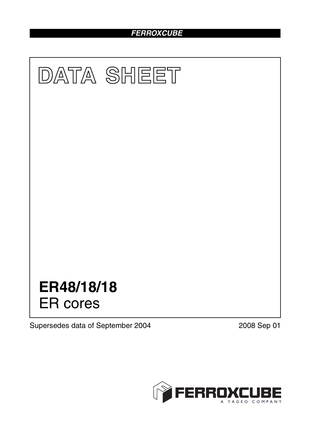# *FERROXCUBE*



Supersedes data of September 2004 2008 Sep 01

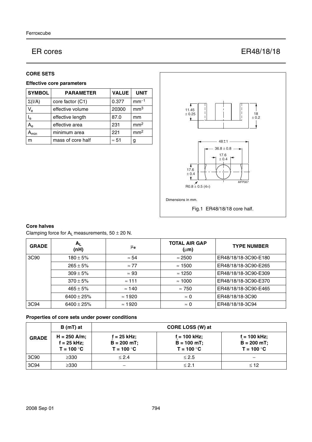# ER cores ER48/18/18

## **CORE SETS**

# **Effective core parameters**

| <b>SYMBOL</b>             | <b>PARAMETER</b>  | <b>VALUE</b> | <b>UNIT</b>     |
|---------------------------|-------------------|--------------|-----------------|
| $\Sigma(I/A)$             | core factor (C1)  | 0.377        | $mm-1$          |
| $V_{e}$                   | effective volume  | 20300        | mm <sup>3</sup> |
| l <sub>e</sub>            | effective length  | 87.0         | mm              |
| $A_{\rm e}$               | effective area    | 231          | mm <sup>2</sup> |
| $\mathbf{A}_{\text{min}}$ | minimum area      | 221          | mm <sup>2</sup> |
| m                         | mass of core half | $\approx 51$ | g               |



## **Core halves**

Clamping force for  $A_L$  measurements,  $50 \pm 20$  N.

| <b>GRADE</b> | $A_{L}$<br>(nH) | μ <sub>e</sub> | <b>TOTAL AIR GAP</b><br>$(\mu m)$ | <b>TYPE NUMBER</b>   |
|--------------|-----------------|----------------|-----------------------------------|----------------------|
| 3C90         | $180 \pm 5\%$   | $\approx 54$   | $\approx$ 2500                    | ER48/18/18-3C90-E180 |
|              | $265 \pm 5\%$   | $\approx 77$   | $\approx$ 1500                    | ER48/18/18-3C90-E265 |
|              | $309 \pm 5\%$   | $\approx 93$   | $\approx$ 1250                    | ER48/18/18-3C90-E309 |
|              | $370 \pm 5\%$   | $\approx$ 111  | $\approx$ 1000                    | ER48/18/18-3C90-E370 |
|              | $465 \pm 5%$    | $\approx$ 140  | $\approx 750$                     | ER48/18/18-3C90-E465 |
|              | $6400 \pm 25\%$ | $\approx$ 1920 | $\approx 0$                       | ER48/18/18-3C90      |
| 3C94         | $6400 \pm 25\%$ | $\approx$ 1920 | $\approx 0$                       | ER48/18/18-3C94      |

# **Properties of core sets under power conditions**

|              | B (mT) at                                       | CORE LOSS (W) at                               |                                                 |                                                  |
|--------------|-------------------------------------------------|------------------------------------------------|-------------------------------------------------|--------------------------------------------------|
| <b>GRADE</b> | $H = 250$ A/m;<br>$f = 25$ kHz;<br>$T = 100 °C$ | $f = 25$ kHz;<br>$B = 200$ mT;<br>$T = 100 °C$ | $f = 100$ kHz;<br>$B = 100$ mT;<br>$T = 100 °C$ | $f = 100$ kHz;<br>$B = 200 mT$ ;<br>$T = 100 °C$ |
| 3C90         | $\geq$ 330                                      | $\leq 2.4$                                     | $\leq 2.5$                                      | –                                                |
| 3C94         | $\geq$ 330                                      |                                                | $\leq 2.1$                                      | $\leq 12$                                        |